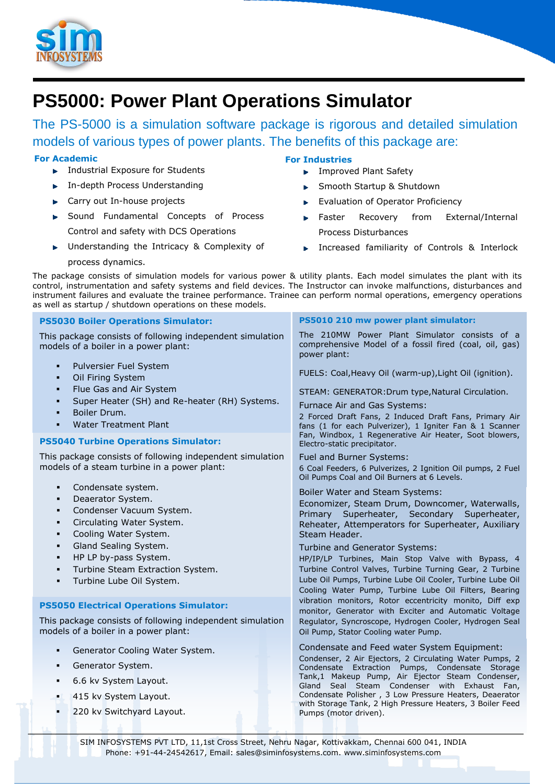

# **PS5000: Power Plant Operations Simulator**

The PS-5000 is a simulation software package is rigorous and detailed simulation models of various types of power plants. The benefits of this package are:

## **For Academic**

- **Industrial Exposure for Students**
- **In-depth Process Understanding**
- ► Carry out In-house projects
- Sound Fundamental Concepts of Process Control and safety with DCS Operations
- Understanding the Intricacy & Complexity of

## **For Industries**

- **F** Improved Plant Safety
- Smooth Startup & Shutdown ь
- Evaluation of Operator Proficiency
- Faster Recovery from External/Internal Process Disturbances
- **Increased familiarity of Controls & Interlock**

process dynamics.

The package consists of simulation models for various power & utility plants. Each model simulates the plant with its control, instrumentation and safety systems and field devices. The Instructor can invoke malfunctions, disturbances and instrument failures and evaluate the trainee performance. Trainee can perform normal operations, emergency operations as well as startup / shutdown operations on these models.

| <b>PS5030 Boiler Operations Simulator:</b>                                                        | PS5010 210 mw power plant simulator:                                                                                                                                                                                                                                                                |
|---------------------------------------------------------------------------------------------------|-----------------------------------------------------------------------------------------------------------------------------------------------------------------------------------------------------------------------------------------------------------------------------------------------------|
| This package consists of following independent simulation<br>models of a boiler in a power plant: | The 210MW Power Plant Simulator consists of a<br>comprehensive Model of a fossil fired (coal, oil, gas)<br>power plant:                                                                                                                                                                             |
| Pulversier Fuel System<br>٠<br>Oil Firing System<br>٠                                             | FUELS: Coal, Heavy Oil (warm-up), Light Oil (ignition).                                                                                                                                                                                                                                             |
| Flue Gas and Air System<br>٠                                                                      | STEAM: GENERATOR: Drum type, Natural Circulation.                                                                                                                                                                                                                                                   |
| Super Heater (SH) and Re-heater (RH) Systems.<br>٠<br>Boiler Drum.<br>٠                           | Furnace Air and Gas Systems:                                                                                                                                                                                                                                                                        |
| <b>Water Treatment Plant</b><br>٠                                                                 | 2 Forced Draft Fans, 2 Induced Draft Fans, Primary Air<br>fans (1 for each Pulverizer), 1 Igniter Fan & 1 Scanner                                                                                                                                                                                   |
| <b>PS5040 Turbine Operations Simulator:</b>                                                       | Fan, Windbox, 1 Regenerative Air Heater, Soot blowers,<br>Electro-static precipitator.                                                                                                                                                                                                              |
| This package consists of following independent simulation                                         | Fuel and Burner Systems:                                                                                                                                                                                                                                                                            |
| models of a steam turbine in a power plant:                                                       | 6 Coal Feeders, 6 Pulverizes, 2 Ignition Oil pumps, 2 Fuel<br>Oil Pumps Coal and Oil Burners at 6 Levels.                                                                                                                                                                                           |
| Condensate system.<br>٠                                                                           | Boiler Water and Steam Systems:                                                                                                                                                                                                                                                                     |
| Deaerator System.<br>٠<br>Condenser Vacuum System.<br>٠                                           | Economizer, Steam Drum, Downcomer, Waterwalls,                                                                                                                                                                                                                                                      |
| Circulating Water System.<br>٠                                                                    | Primary Superheater, Secondary Superheater,<br>Reheater, Attemperators for Superheater, Auxiliary                                                                                                                                                                                                   |
| Cooling Water System.<br>٠                                                                        | Steam Header.                                                                                                                                                                                                                                                                                       |
| Gland Sealing System.<br>$\blacksquare$                                                           | Turbine and Generator Systems:                                                                                                                                                                                                                                                                      |
| HP LP by-pass System.<br>٠                                                                        | HP/IP/LP Turbines, Main Stop Valve with Bypass, 4                                                                                                                                                                                                                                                   |
| Turbine Steam Extraction System.<br>٠                                                             | Turbine Control Valves, Turbine Turning Gear, 2 Turbine                                                                                                                                                                                                                                             |
| Turbine Lube Oil System.<br>$\blacksquare$                                                        | Lube Oil Pumps, Turbine Lube Oil Cooler, Turbine Lube Oil<br>Cooling Water Pump, Turbine Lube Oil Filters, Bearing                                                                                                                                                                                  |
|                                                                                                   | vibration monitors, Rotor eccentricity monito, Diff exp                                                                                                                                                                                                                                             |
| <b>PS5050 Electrical Operations Simulator:</b>                                                    | monitor, Generator with Exciter and Automatic Voltage                                                                                                                                                                                                                                               |
| This package consists of following independent simulation<br>models of a boiler in a power plant: | Regulator, Syncroscope, Hydrogen Cooler, Hydrogen Seal<br>Oil Pump, Stator Cooling water Pump.                                                                                                                                                                                                      |
| Generator Cooling Water System.<br>٠                                                              | Condensate and Feed water System Equipment:<br>Condenser, 2 Air Ejectors, 2 Circulating Water Pumps, 2                                                                                                                                                                                              |
| Generator System.<br>٠                                                                            | Condensate Extraction Pumps, Condensate Storage<br>Tank,1 Makeup Pump, Air Ejector Steam Condenser,<br>Gland Seal Steam Condenser with Exhaust Fan,<br>Condensate Polisher, 3 Low Pressure Heaters, Deaerator<br>with Storage Tank, 2 High Pressure Heaters, 3 Boiler Feed<br>Pumps (motor driven). |
| 6.6 kv System Layout.<br>$\blacksquare$                                                           |                                                                                                                                                                                                                                                                                                     |
| 415 kv System Layout.<br>٠                                                                        |                                                                                                                                                                                                                                                                                                     |
| 220 kv Switchyard Layout.<br>٠                                                                    |                                                                                                                                                                                                                                                                                                     |
|                                                                                                   |                                                                                                                                                                                                                                                                                                     |
| SIM INFOSYSTEMS PVT LTD, 11,1st Cross Street, Nehru Nagar, Kottivakkam, Chennai 600 041, INDIA    |                                                                                                                                                                                                                                                                                                     |

Phone: +91-44-24542617, Email: sales@siminfosystems.com. www.siminfosystems.com